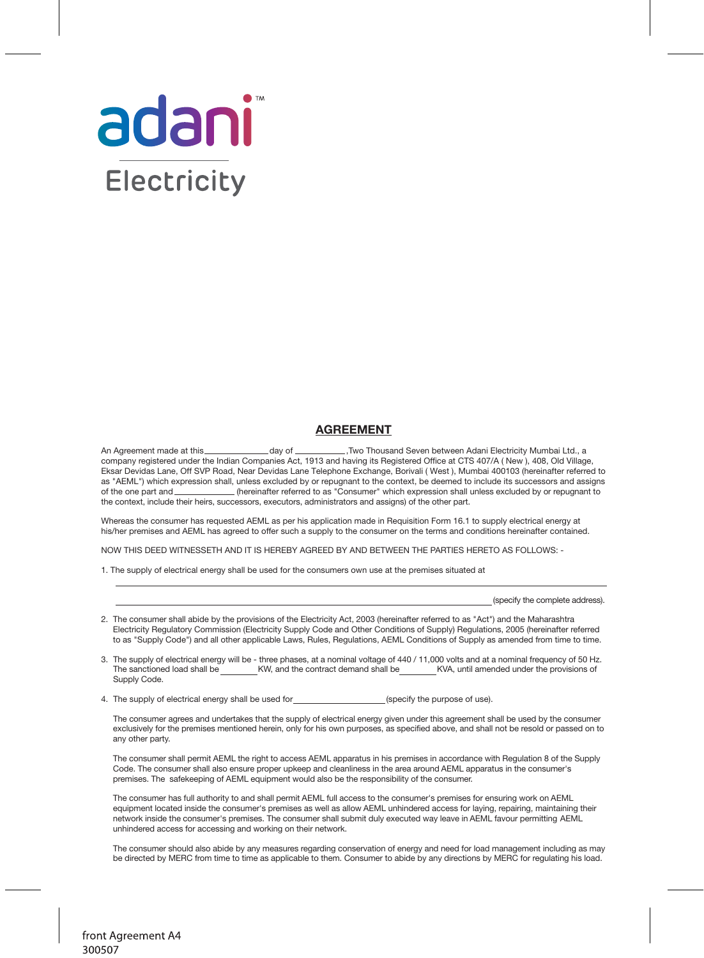

## **AGREEMENT**

An Agreement made at this \_\_\_\_\_\_\_\_\_\_\_\_\_\_\_\_ day of \_\_\_\_\_\_\_\_\_\_\_\_,Two Thousand Seven between Adani Electricity Mumbai Ltd., a company registered under the Indian Companies Act, 1913 and having its Registered Office at CTS 407/A ( New ), 408, Old Village, Eksar Devidas Lane, Off SVP Road, Near Devidas Lane Telephone Exchange, Borivali ( West ), Mumbai 400103 (hereinafter referred to as "AEML") which expression shall, unless excluded by or repugnant to the context, be deemed to include its successors and assigns of the one part and (hereinafter referred to as "Consumer" which expression shall unless excluded by or repugnant to the context, include their heirs, successors, executors, administrators and assigns) of the other part.

Whereas the consumer has requested AEML as per his application made in Requisition Form 16.1 to supply electrical energy at his/her premises and AEML has agreed to offer such a supply to the consumer on the terms and conditions hereinafter contained.

NOW THIS DEED WITNESSETH AND IT IS HEREBY AGREED BY AND BETWEEN THE PARTIES HERETO AS FOLLOWS: -

1. The supply of electrical energy shall be used for the consumers own use at the premises situated at

(specify the complete address).

- 2. The consumer shall abide by the provisions of the Electricity Act, 2003 (hereinafter referred to as "Act") and the Maharashtra Electricity Regulatory Commission (Electricity Supply Code and Other Conditions of Supply) Regulations, 2005 (hereinafter referred to as "Supply Code") and all other applicable Laws, Rules, Regulations, AEML Conditions of Supply as amended from time to time.
- 3. The supply of electrical energy will be three phases, at a nominal voltage of 440 / 11,000 volts and at a nominal frequency of 50 Hz. The sanctioned load shall be KW, and the contract demand shall be KVA, until amended under the provisions of Supply Code.

4. The supply of electrical energy shall be used for (specify the purpose of use).

The consumer agrees and undertakes that the supply of electrical energy given under this agreement shall be used by the consumer exclusively for the premises mentioned herein, only for his own purposes, as specified above, and shall not be resold or passed on to any other party.

The consumer shall permit AEML the right to access AEML apparatus in his premises in accordance with Regulation 8 of the Supply Code. The consumer shall also ensure proper upkeep and cleanliness in the area around AEML apparatus in the consumer's premises. The safekeeping of AEML equipment would also be the responsibility of the consumer.

The consumer has full authority to and shall permit AEML full access to the consumer's premises for ensuring work on AEML equipment located inside the consumer's premises as well as allow AEML unhindered access for laying, repairing, maintaining their network inside the consumer's premises. The consumer shall submit duly executed way leave in AEML favour permitting AEML unhindered access for accessing and working on their network.

The consumer should also abide by any measures regarding conservation of energy and need for load management including as may be directed by MERC from time to time as applicable to them. Consumer to abide by any directions by MERC for regulating his load.

front Agreement A4 300507